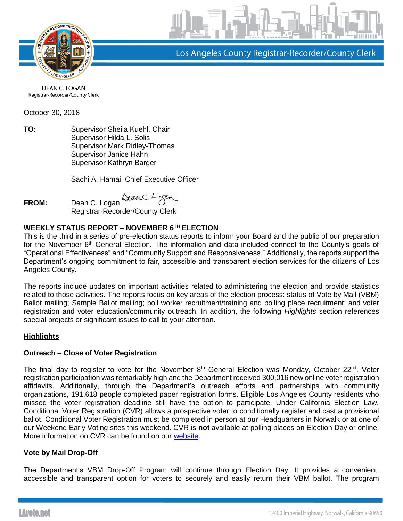

Los Angeles County Registrar-Recorder/County Clerk

DEAN C. LOGAN Registrar-Recorder/County Clerk

October 30, 2018

**TO:** Supervisor Sheila Kuehl, Chair Supervisor Hilda L. Solis Supervisor Mark Ridley-Thomas Supervisor Janice Hahn Supervisor Kathryn Barger

Sachi A. Hamai, Chief Executive Officer

**FROM:** Dean C. Logan

Registrar-Recorder/County Clerk

# **WEEKLY STATUS REPORT – NOVEMBER 6TH ELECTION**

This is the third in a series of pre-election status reports to inform your Board and the public of our preparation for the November 6<sup>th</sup> General Election. The information and data included connect to the County's goals of "Operational Effectiveness" and "Community Support and Responsiveness." Additionally, the reports support the Department's ongoing commitment to fair, accessible and transparent election services for the citizens of Los Angeles County.

The reports include updates on important activities related to administering the election and provide statistics related to those activities. The reports focus on key areas of the election process: status of Vote by Mail (VBM) Ballot mailing; Sample Ballot mailing; poll worker recruitment/training and polling place recruitment; and voter registration and voter education/community outreach. In addition, the following *Highlights* section references special projects or significant issues to call to your attention.

### **Highlights**

### **Outreach – Close of Voter Registration**

The final day to register to vote for the November  $8<sup>th</sup>$  General Election was Monday, October 22<sup>nd</sup>. Voter registration participation was remarkably high and the Department received 300,016 new online voter registration affidavits. Additionally, through the Department's outreach efforts and partnerships with community organizations, 191,618 people completed paper registration forms. Eligible Los Angeles County residents who missed the voter registration deadline still have the option to participate. Under California Election Law, Conditional Voter Registration (CVR) allows a prospective voter to conditionally register and cast a provisional ballot. Conditional Voter Registration must be completed in person at our Headquarters in Norwalk or at one of our Weekend Early Voting sites this weekend. CVR is **not** available at polling places on Election Day or online. More information on CVR can be found on our [website.](https://www.lavote.net/home/voting-elections/voter-registration/conditional-voter-registration)

### **Vote by Mail Drop-Off**

The Department's VBM Drop-Off Program will continue through Election Day. It provides a convenient, accessible and transparent option for voters to securely and easily return their VBM ballot. The program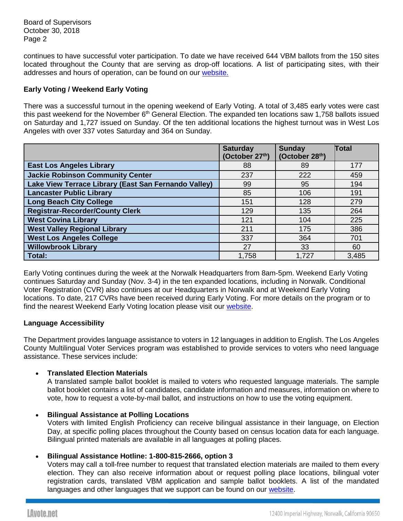continues to have successful voter participation. To date we have received 644 VBM ballots from the 150 sites located throughout the County that are serving as drop-off locations. A list of participating sites, with their addresses and hours of operation, can be found on our [website.](http://lavote.net/home/voting-elections/voting-options/vote-by-mail/vbm-ballot-drop-off)

## **Early Voting / Weekend Early Voting**

There was a successful turnout in the opening weekend of Early Voting. A total of 3,485 early votes were cast this past weekend for the November 6<sup>th</sup> General Election. The expanded ten locations saw 1,758 ballots issued on Saturday and 1,727 issued on Sunday. Of the ten additional locations the highest turnout was in West Los Angeles with over 337 votes Saturday and 364 on Sunday.

|                                                      | <b>Saturday</b><br>(October 27th) | <b>Sunday</b><br>(October 28th) | Total |
|------------------------------------------------------|-----------------------------------|---------------------------------|-------|
| <b>East Los Angeles Library</b>                      | 88                                | 89                              | 177   |
| <b>Jackie Robinson Community Center</b>              | 237                               | 222                             | 459   |
| Lake View Terrace Library (East San Fernando Valley) | 99                                | 95                              | 194   |
| <b>Lancaster Public Library</b>                      | 85                                | 106                             | 191   |
| <b>Long Beach City College</b>                       | 151                               | 128                             | 279   |
| <b>Registrar-Recorder/County Clerk</b>               | 129                               | 135                             | 264   |
| <b>West Covina Library</b>                           | 121                               | 104                             | 225   |
| <b>West Valley Regional Library</b>                  | 211                               | 175                             | 386   |
| <b>West Los Angeles College</b>                      | 337                               | 364                             | 701   |
| <b>Willowbrook Library</b>                           | 27                                | 33                              | 60    |
| <b>Total:</b>                                        | 1,758                             | 1,727                           | 3,485 |

Early Voting continues during the week at the Norwalk Headquarters from 8am-5pm. Weekend Early Voting continues Saturday and Sunday (Nov. 3-4) in the ten expanded locations, including in Norwalk. Conditional Voter Registration (CVR) also continues at our Headquarters in Norwalk and at Weekend Early Voting locations. To date, 217 CVRs have been received during Early Voting. For more details on the program or to find the nearest Weekend Early Voting location please visit our [website.](http://lavote.net/home/voting-elections/voting-options/early-voting/early-voting)

### **Language Accessibility**

The Department provides language assistance to voters in 12 languages in addition to English. The Los Angeles County Multilingual Voter Services program was established to provide services to voters who need language assistance. These services include:

### • **Translated Election Materials**

A translated sample ballot booklet is mailed to voters who requested language materials. The sample ballot booklet contains a list of candidates, candidate information and measures, information on where to vote, how to request a vote-by-mail ballot, and instructions on how to use the voting equipment.

• **Bilingual Assistance at Polling Locations**

Voters with limited English Proficiency can receive bilingual assistance in their language, on Election Day, at specific polling places throughout the County based on census location data for each language. Bilingual printed materials are available in all languages at polling places.

### • **Bilingual Assistance Hotline: 1-800-815-2666, option 3**

Voters may call a toll-free number to request that translated election materials are mailed to them every election. They can also receive information about or request polling place locations, bilingual voter registration cards, translated VBM application and sample ballot booklets. A list of the mandated languages and other languages that we support can be found on our [website.](http://lavote.net/home/voting-elections/voter-education/multilingual-services-program/multilingual-services-program)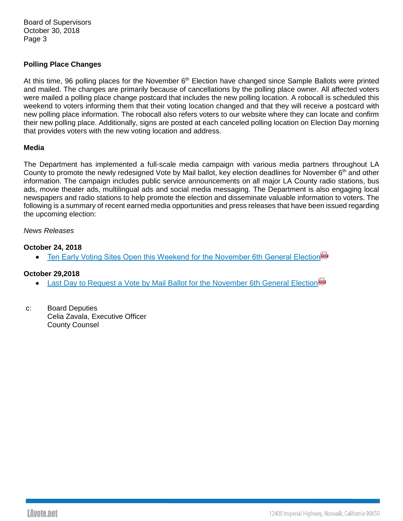Board of Supervisors October 30, 2018 Page 3

### **Polling Place Changes**

At this time, 96 polling places for the November  $6<sup>th</sup>$  Election have changed since Sample Ballots were printed and mailed. The changes are primarily because of cancellations by the polling place owner. All affected voters were mailed a polling place change postcard that includes the new polling location. A robocall is scheduled this weekend to voters informing them that their voting location changed and that they will receive a postcard with new polling place information. The robocall also refers voters to our website where they can locate and confirm their new polling place. Additionally, signs are posted at each canceled polling location on Election Day morning that provides voters with the new voting location and address.

### **Media**

The Department has implemented a full-scale media campaign with various media partners throughout LA County to promote the newly redesigned Vote by Mail ballot, key election deadlines for November  $6<sup>th</sup>$  and other information. The campaign includes public service announcements on all major LA County radio stations, bus ads, movie theater ads, multilingual ads and social media messaging. The Department is also engaging local newspapers and radio stations to help promote the election and disseminate valuable information to voters. The following is a summary of recent earned media opportunities and press releases that have been issued regarding the upcoming election:

#### *News Releases*

### **October 24, 2018**

**Fram Early Voting Sites Open this Weekend for the November 6th General Election** 

### **October 29,2018**

- [Last Day to Request a Vote by Mail Ballot for the November 6th General Election](https://www.lavote.net/docs/rrcc/news-releases/11062018_VBM-Ending.pdf)
- c: Board Deputies Celia Zavala, Executive Officer County Counsel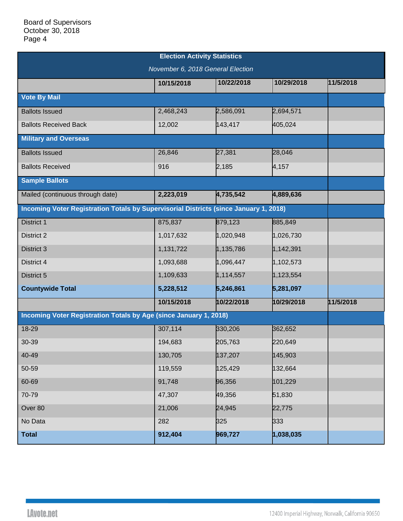| <b>Election Activity Statistics</b>                                                   |            |            |            |           |  |  |  |
|---------------------------------------------------------------------------------------|------------|------------|------------|-----------|--|--|--|
| November 6, 2018 General Election                                                     |            |            |            |           |  |  |  |
|                                                                                       | 10/15/2018 | 10/22/2018 | 10/29/2018 | 11/5/2018 |  |  |  |
| <b>Vote By Mail</b>                                                                   |            |            |            |           |  |  |  |
| <b>Ballots Issued</b>                                                                 | 2,468,243  | 2,586,091  | 2,694,571  |           |  |  |  |
| <b>Ballots Received Back</b>                                                          | 12,002     | 143,417    | 405,024    |           |  |  |  |
| <b>Military and Overseas</b>                                                          |            |            |            |           |  |  |  |
| <b>Ballots Issued</b>                                                                 | 26,846     | 27,381     | 28,046     |           |  |  |  |
| <b>Ballots Received</b>                                                               | 916        | 2,185      | 4,157      |           |  |  |  |
| <b>Sample Ballots</b>                                                                 |            |            |            |           |  |  |  |
| Mailed (continuous through date)                                                      | 2,223,019  | 4,735,542  | 4,889,636  |           |  |  |  |
| Incoming Voter Registration Totals by Supervisorial Districts (since January 1, 2018) |            |            |            |           |  |  |  |
| District 1                                                                            | 875,837    | 879,123    | 885,849    |           |  |  |  |
| District 2                                                                            | 1,017,632  | 1,020,948  | 1,026,730  |           |  |  |  |
| District 3                                                                            | 1,131,722  | 1,135,786  | 1,142,391  |           |  |  |  |
| District 4                                                                            | 1,093,688  | 1,096,447  | 1,102,573  |           |  |  |  |
| District 5                                                                            | 1,109,633  | 1,114,557  | 1,123,554  |           |  |  |  |
| <b>Countywide Total</b>                                                               | 5,228,512  | 5,246,861  | 5,281,097  |           |  |  |  |
|                                                                                       | 10/15/2018 | 10/22/2018 | 10/29/2018 | 11/5/2018 |  |  |  |
| Incoming Voter Registration Totals by Age (since January 1, 2018)                     |            |            |            |           |  |  |  |
| 18-29                                                                                 | 307,114    | 330,206    | 362,652    |           |  |  |  |
| 30-39                                                                                 | 194,683    | 205,763    | 220,649    |           |  |  |  |
| 40-49                                                                                 | 130,705    | 137,207    | 145,903    |           |  |  |  |
| 50-59                                                                                 | 119,559    | 125,429    | 132,664    |           |  |  |  |
| 60-69                                                                                 | 91,748     | 96,356     | 101,229    |           |  |  |  |
| 70-79                                                                                 | 47,307     | 49,356     | 51,830     |           |  |  |  |
| Over 80                                                                               | 21,006     | 24,945     | 22,775     |           |  |  |  |
| No Data                                                                               | 282        | 325        | 333        |           |  |  |  |
| <b>Total</b>                                                                          | 912,404    | 969,727    | 1,038,035  |           |  |  |  |